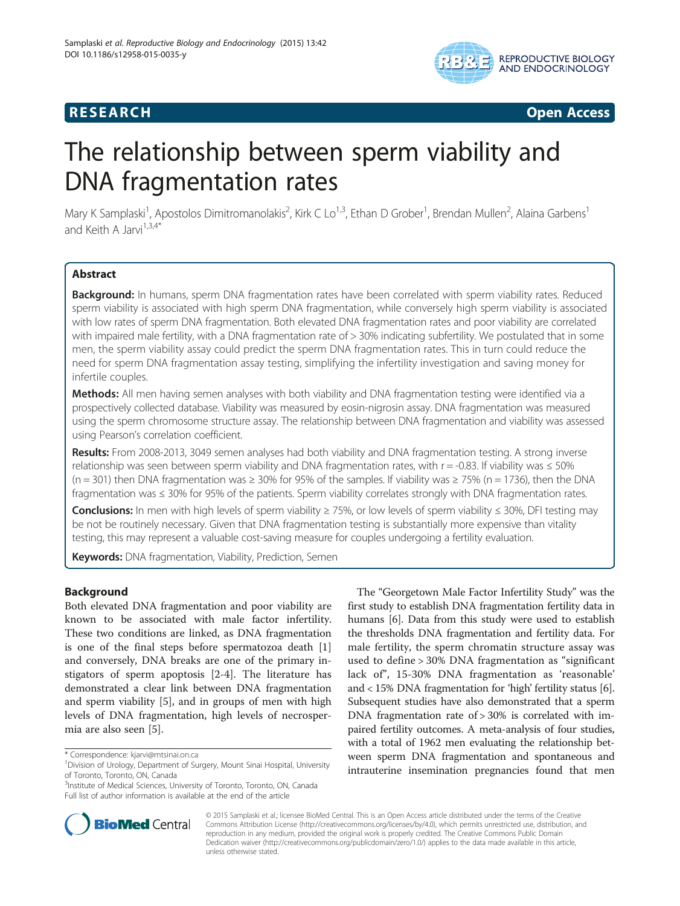

# **RESEARCH RESEARCH CONSUMING ACCESS**

# The relationship between sperm viability and DNA fragmentation rates

Mary K Samplaski<sup>1</sup>, Apostolos Dimitromanolakis<sup>2</sup>, Kirk C Lo<sup>1,3</sup>, Ethan D Grober<sup>1</sup>, Brendan Mullen<sup>2</sup>, Alaina Garbens<sup>1</sup> and Keith A Jarvi<sup>1,3,4\*</sup>

# Abstract

Background: In humans, sperm DNA fragmentation rates have been correlated with sperm viability rates. Reduced sperm viability is associated with high sperm DNA fragmentation, while conversely high sperm viability is associated with low rates of sperm DNA fragmentation. Both elevated DNA fragmentation rates and poor viability are correlated with impaired male fertility, with a DNA fragmentation rate of > 30% indicating subfertility. We postulated that in some men, the sperm viability assay could predict the sperm DNA fragmentation rates. This in turn could reduce the need for sperm DNA fragmentation assay testing, simplifying the infertility investigation and saving money for infertile couples.

Methods: All men having semen analyses with both viability and DNA fragmentation testing were identified via a prospectively collected database. Viability was measured by eosin-nigrosin assay. DNA fragmentation was measured using the sperm chromosome structure assay. The relationship between DNA fragmentation and viability was assessed using Pearson's correlation coefficient.

Results: From 2008-2013, 3049 semen analyses had both viability and DNA fragmentation testing. A strong inverse relationship was seen between sperm viability and DNA fragmentation rates, with r = -0.83. If viability was ≤ 50% (n = 301) then DNA fragmentation was  $\geq 30\%$  for 95% of the samples. If viability was  $\geq 75\%$  (n = 1736), then the DNA fragmentation was ≤ 30% for 95% of the patients. Sperm viability correlates strongly with DNA fragmentation rates.

Conclusions: In men with high levels of sperm viability ≥ 75%, or low levels of sperm viability ≤ 30%, DFI testing may be not be routinely necessary. Given that DNA fragmentation testing is substantially more expensive than vitality testing, this may represent a valuable cost-saving measure for couples undergoing a fertility evaluation.

Keywords: DNA fragmentation, Viability, Prediction, Semen

# Background

Both elevated DNA fragmentation and poor viability are known to be associated with male factor infertility. These two conditions are linked, as DNA fragmentation is one of the final steps before spermatozoa death [\[1](#page-4-0)] and conversely, DNA breaks are one of the primary instigators of sperm apoptosis [\[2-4](#page-4-0)]. The literature has demonstrated a clear link between DNA fragmentation and sperm viability [[5\]](#page-4-0), and in groups of men with high levels of DNA fragmentation, high levels of necrospermia are also seen [\[5\]](#page-4-0).

The "Georgetown Male Factor Infertility Study" was the first study to establish DNA fragmentation fertility data in humans [[6](#page-4-0)]. Data from this study were used to establish the thresholds DNA fragmentation and fertility data. For male fertility, the sperm chromatin structure assay was used to define > 30% DNA fragmentation as "significant lack of", 15-30% DNA fragmentation as 'reasonable' and < 15% DNA fragmentation for 'high' fertility status [[6](#page-4-0)]. Subsequent studies have also demonstrated that a sperm DNA fragmentation rate of > 30% is correlated with impaired fertility outcomes. A meta-analysis of four studies, with a total of 1962 men evaluating the relationship between sperm DNA fragmentation and spontaneous and intrauterine insemination pregnancies found that men



© 2015 Samplaski et al.; licensee BioMed Central. This is an Open Access article distributed under the terms of the Creative Commons Attribution License [\(http://creativecommons.org/licenses/by/4.0\)](http://creativecommons.org/licenses/by/4.0), which permits unrestricted use, distribution, and reproduction in any medium, provided the original work is properly credited. The Creative Commons Public Domain Dedication waiver [\(http://creativecommons.org/publicdomain/zero/1.0/](http://creativecommons.org/publicdomain/zero/1.0/)) applies to the data made available in this article, unless otherwise stated.

<sup>\*</sup> Correspondence: [kjarvi@mtsinai.on.ca](mailto:kjarvi@mtsinai.on.ca) <sup>1</sup>

 $1$ Division of Urology, Department of Surgery, Mount Sinai Hospital, University of Toronto, Toronto, ON, Canada

<sup>&</sup>lt;sup>3</sup>Institute of Medical Sciences, University of Toronto, Toronto, ON, Canada Full list of author information is available at the end of the article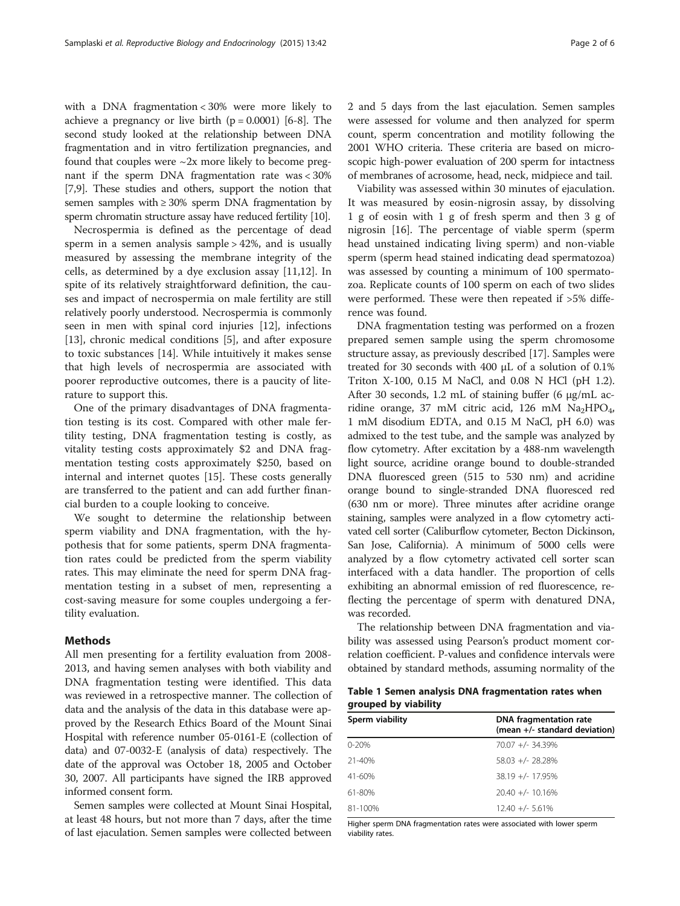<span id="page-1-0"></span>with a DNA fragmentation < 30% were more likely to achieve a pregnancy or live birth  $(p = 0.0001)$  [\[6](#page-4-0)-[8](#page-4-0)]. The second study looked at the relationship between DNA fragmentation and in vitro fertilization pregnancies, and found that couples were  $\sim$ 2x more likely to become pregnant if the sperm DNA fragmentation rate was < 30% [[7,9](#page-4-0)]. These studies and others, support the notion that semen samples with  $\geq 30\%$  sperm DNA fragmentation by sperm chromatin structure assay have reduced fertility [\[10](#page-4-0)].

Necrospermia is defined as the percentage of dead sperm in a semen analysis sample > 42%, and is usually measured by assessing the membrane integrity of the cells, as determined by a dye exclusion assay [\[11,12\]](#page-4-0). In spite of its relatively straightforward definition, the causes and impact of necrospermia on male fertility are still relatively poorly understood. Necrospermia is commonly seen in men with spinal cord injuries [\[12](#page-4-0)], infections [[13\]](#page-4-0), chronic medical conditions [[5\]](#page-4-0), and after exposure to toxic substances [\[14\]](#page-4-0). While intuitively it makes sense that high levels of necrospermia are associated with poorer reproductive outcomes, there is a paucity of literature to support this.

One of the primary disadvantages of DNA fragmentation testing is its cost. Compared with other male fertility testing, DNA fragmentation testing is costly, as vitality testing costs approximately \$2 and DNA fragmentation testing costs approximately \$250, based on internal and internet quotes [[15\]](#page-4-0). These costs generally are transferred to the patient and can add further financial burden to a couple looking to conceive.

We sought to determine the relationship between sperm viability and DNA fragmentation, with the hypothesis that for some patients, sperm DNA fragmentation rates could be predicted from the sperm viability rates. This may eliminate the need for sperm DNA fragmentation testing in a subset of men, representing a cost-saving measure for some couples undergoing a fertility evaluation.

# Methods

All men presenting for a fertility evaluation from 2008- 2013, and having semen analyses with both viability and DNA fragmentation testing were identified. This data was reviewed in a retrospective manner. The collection of data and the analysis of the data in this database were approved by the Research Ethics Board of the Mount Sinai Hospital with reference number 05-0161-E (collection of data) and 07-0032-E (analysis of data) respectively. The date of the approval was October 18, 2005 and October 30, 2007. All participants have signed the IRB approved informed consent form.

Semen samples were collected at Mount Sinai Hospital, at least 48 hours, but not more than 7 days, after the time of last ejaculation. Semen samples were collected between 2 and 5 days from the last ejaculation. Semen samples were assessed for volume and then analyzed for sperm count, sperm concentration and motility following the 2001 WHO criteria. These criteria are based on microscopic high-power evaluation of 200 sperm for intactness of membranes of acrosome, head, neck, midpiece and tail.

Viability was assessed within 30 minutes of ejaculation. It was measured by eosin-nigrosin assay, by dissolving 1 g of eosin with 1 g of fresh sperm and then 3 g of nigrosin [\[16](#page-4-0)]. The percentage of viable sperm (sperm head unstained indicating living sperm) and non-viable sperm (sperm head stained indicating dead spermatozoa) was assessed by counting a minimum of 100 spermatozoa. Replicate counts of 100 sperm on each of two slides were performed. These were then repeated if >5% difference was found.

DNA fragmentation testing was performed on a frozen prepared semen sample using the sperm chromosome structure assay, as previously described [\[17](#page-4-0)]. Samples were treated for 30 seconds with 400 μL of a solution of 0.1% Triton X-100, 0.15 M NaCl, and 0.08 N HCl (pH 1.2). After 30 seconds, 1.2 mL of staining buffer (6 μg/mL acridine orange, 37 mM citric acid, 126 mM  $Na<sub>2</sub>HPO<sub>4</sub>$ , 1 mM disodium EDTA, and 0.15 M NaCl, pH 6.0) was admixed to the test tube, and the sample was analyzed by flow cytometry. After excitation by a 488-nm wavelength light source, acridine orange bound to double-stranded DNA fluoresced green (515 to 530 nm) and acridine orange bound to single-stranded DNA fluoresced red (630 nm or more). Three minutes after acridine orange staining, samples were analyzed in a flow cytometry activated cell sorter (Caliburflow cytometer, Becton Dickinson, San Jose, California). A minimum of 5000 cells were analyzed by a flow cytometry activated cell sorter scan interfaced with a data handler. The proportion of cells exhibiting an abnormal emission of red fluorescence, reflecting the percentage of sperm with denatured DNA, was recorded.

The relationship between DNA fragmentation and viability was assessed using Pearson's product moment correlation coefficient. P-values and confidence intervals were obtained by standard methods, assuming normality of the

Table 1 Semen analysis DNA fragmentation rates when grouped by viability

| Sperm viability | DNA fragmentation rate<br>(mean +/- standard deviation) |  |  |
|-----------------|---------------------------------------------------------|--|--|
| $0 - 20%$       | $70.07 +/- 34.39%$                                      |  |  |
| $21 - 40%$      | $58.03 +/- 28.28%$                                      |  |  |
| 41-60%          | $38.19 +/- 17.95%$                                      |  |  |
| 61-80%          | $20.40 +/- 10.16%$                                      |  |  |
| 81-100%         | $12.40 +/- 5.61%$                                       |  |  |

Higher sperm DNA fragmentation rates were associated with lower sperm viability rates.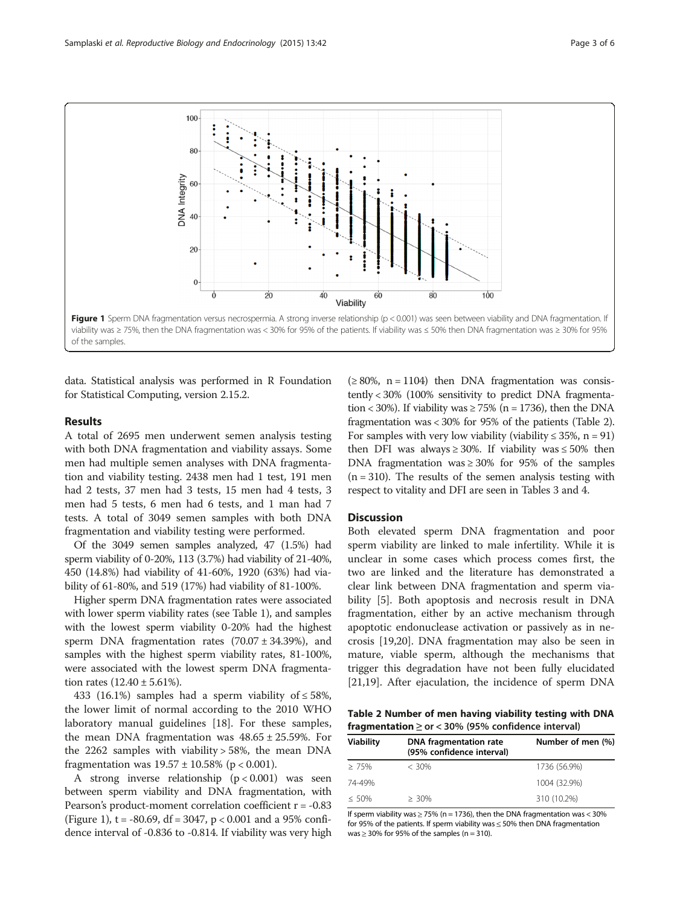<span id="page-2-0"></span>

data. Statistical analysis was performed in R Foundation for Statistical Computing, version 2.15.2.

#### Results

A total of 2695 men underwent semen analysis testing with both DNA fragmentation and viability assays. Some men had multiple semen analyses with DNA fragmentation and viability testing. 2438 men had 1 test, 191 men had 2 tests, 37 men had 3 tests, 15 men had 4 tests, 3 men had 5 tests, 6 men had 6 tests, and 1 man had 7 tests. A total of 3049 semen samples with both DNA fragmentation and viability testing were performed.

Of the 3049 semen samples analyzed, 47 (1.5%) had sperm viability of 0-20%, 113 (3.7%) had viability of 21-40%, 450 (14.8%) had viability of 41-60%, 1920 (63%) had viability of 61-80%, and 519 (17%) had viability of 81-100%.

Higher sperm DNA fragmentation rates were associated with lower sperm viability rates (see Table [1](#page-1-0)), and samples with the lowest sperm viability 0-20% had the highest sperm DNA fragmentation rates  $(70.07 \pm 34.39%)$ , and samples with the highest sperm viability rates, 81-100%, were associated with the lowest sperm DNA fragmentation rates  $(12.40 \pm 5.61\%).$ 

433 (16.1%) samples had a sperm viability of  $\leq$  58%, the lower limit of normal according to the 2010 WHO laboratory manual guidelines [\[18](#page-4-0)]. For these samples, the mean DNA fragmentation was  $48.65 \pm 25.59$ %. For the 2262 samples with viability  $>$  58%, the mean DNA fragmentation was  $19.57 \pm 10.58\%$  (p < 0.001).

A strong inverse relationship  $(p < 0.001)$  was seen between sperm viability and DNA fragmentation, with Pearson's product-moment correlation coefficient  $r = -0.83$ (Figure 1),  $t = -80.69$ ,  $df = 3047$ ,  $p < 0.001$  and a 95% confidence interval of -0.836 to -0.814. If viability was very high  $(≥ 80\%, n = 1104)$  then DNA fragmentation was consistently < 30% (100% sensitivity to predict DNA fragmentation < 30%). If viability was  $\geq$  75% (n = 1736), then the DNA fragmentation was < 30% for 95% of the patients (Table 2). For samples with very low viability (viability  $\leq 35\%$ , n = 91) then DFI was always  $\geq 30\%$ . If viability was  $\leq 50\%$  then DNA fragmentation was  $\geq 30\%$  for 95% of the samples  $(n = 310)$ . The results of the semen analysis testing with respect to vitality and DFI are seen in Tables [3](#page-3-0) and [4](#page-3-0).

## **Discussion**

Both elevated sperm DNA fragmentation and poor sperm viability are linked to male infertility. While it is unclear in some cases which process comes first, the two are linked and the literature has demonstrated a clear link between DNA fragmentation and sperm viability [\[5](#page-4-0)]. Both apoptosis and necrosis result in DNA fragmentation, either by an active mechanism through apoptotic endonuclease activation or passively as in necrosis [\[19,20](#page-4-0)]. DNA fragmentation may also be seen in mature, viable sperm, although the mechanisms that trigger this degradation have not been fully elucidated [[21,19\]](#page-4-0). After ejaculation, the incidence of sperm DNA

Table 2 Number of men having viability testing with DNA fragmentation  $\ge$  or < 30% (95% confidence interval)

| DNA fragmentation rate<br><b>Viability</b><br>(95% confidence interval) |          | Number of men (%) |
|-------------------------------------------------------------------------|----------|-------------------|
| $\geq 75\%$                                                             | $< 30\%$ | 1736 (56.9%)      |
| 74-49%                                                                  |          | 1004 (32.9%)      |
| $\leq 50\%$                                                             | $> 30\%$ | 310 (10.2%)       |

If sperm viability was  $\geq$  75% (n = 1736), then the DNA fragmentation was < 30% for 95% of the patients. If sperm viability was ≤ 50% then DNA fragmentation was  $\geq$  30% for 95% of the samples (n = 310).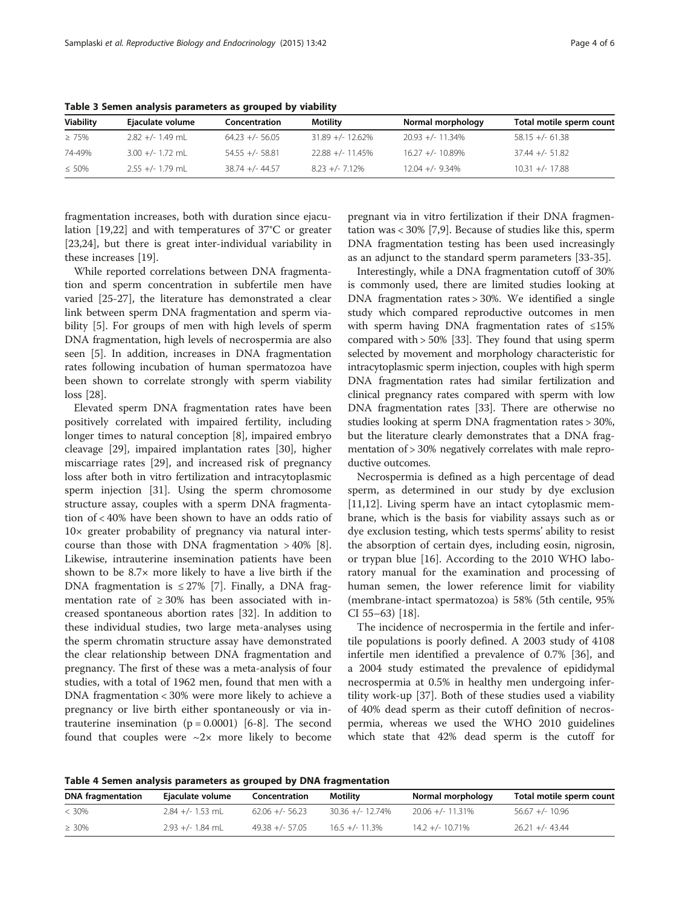| <b>Viability</b> | Ejaculate volume   | Concentration     | Motility           | Normal morphology  | Total motile sperm count |
|------------------|--------------------|-------------------|--------------------|--------------------|--------------------------|
| $\geq 75\%$      | $2.82 +/- 1.49$ ml | $64.23 +/- 56.05$ | $31.89 +/- 12.62%$ | $20.93 +/- 11.34%$ | $58.15 +/- 61.38$        |
| 74-49%           | $3.00 +/- 1.72$ ml | $54.55 +/- 58.81$ | $22.88 +/- 11.45%$ | $16.27 +/- 10.89%$ | $37.44 +/- 51.82$        |
| $\leq 50\%$      | 2.55 +/- 1.79 mL   | $38.74 +/- 44.57$ | $8.23 +/- 7.12%$   | $12.04 +/- 9.34%$  | $10.31 +/- 17.88$        |

<span id="page-3-0"></span>Table 3 Semen analysis parameters as grouped by viability

fragmentation increases, both with duration since ejaculation [\[19,](#page-4-0)[22\]](#page-5-0) and with temperatures of 37°C or greater [[23,24\]](#page-5-0), but there is great inter-individual variability in these increases [[19\]](#page-4-0).

While reported correlations between DNA fragmentation and sperm concentration in subfertile men have varied [\[25](#page-5-0)-[27\]](#page-5-0), the literature has demonstrated a clear link between sperm DNA fragmentation and sperm viability [\[5](#page-4-0)]. For groups of men with high levels of sperm DNA fragmentation, high levels of necrospermia are also seen [[5\]](#page-4-0). In addition, increases in DNA fragmentation rates following incubation of human spermatozoa have been shown to correlate strongly with sperm viability loss [\[28\]](#page-5-0).

Elevated sperm DNA fragmentation rates have been positively correlated with impaired fertility, including longer times to natural conception [[8\]](#page-4-0), impaired embryo cleavage [\[29](#page-5-0)], impaired implantation rates [\[30](#page-5-0)], higher miscarriage rates [[29\]](#page-5-0), and increased risk of pregnancy loss after both in vitro fertilization and intracytoplasmic sperm injection [[31\]](#page-5-0). Using the sperm chromosome structure assay, couples with a sperm DNA fragmentation of < 40% have been shown to have an odds ratio of 10× greater probability of pregnancy via natural intercourse than those with DNA fragmentation  $>40\%$  [\[8](#page-4-0)]. Likewise, intrauterine insemination patients have been shown to be 8.7× more likely to have a live birth if the DNA fragmentation is  $\leq$  27% [[7\]](#page-4-0). Finally, a DNA fragmentation rate of  $\geq 30\%$  has been associated with increased spontaneous abortion rates [\[32](#page-5-0)]. In addition to these individual studies, two large meta-analyses using the sperm chromatin structure assay have demonstrated the clear relationship between DNA fragmentation and pregnancy. The first of these was a meta-analysis of four studies, with a total of 1962 men, found that men with a DNA fragmentation < 30% were more likely to achieve a pregnancy or live birth either spontaneously or via intrauterine insemination  $(p = 0.0001)$  [[6-8](#page-4-0)]. The second found that couples were  $\sim 2 \times$  more likely to become

pregnant via in vitro fertilization if their DNA fragmentation was < 30% [\[7](#page-4-0),[9](#page-4-0)]. Because of studies like this, sperm DNA fragmentation testing has been used increasingly as an adjunct to the standard sperm parameters [[33-35](#page-5-0)].

Interestingly, while a DNA fragmentation cutoff of 30% is commonly used, there are limited studies looking at DNA fragmentation rates > 30%. We identified a single study which compared reproductive outcomes in men with sperm having DNA fragmentation rates of ≤15% compared with > 50% [[33](#page-5-0)]. They found that using sperm selected by movement and morphology characteristic for intracytoplasmic sperm injection, couples with high sperm DNA fragmentation rates had similar fertilization and clinical pregnancy rates compared with sperm with low DNA fragmentation rates [\[33\]](#page-5-0). There are otherwise no studies looking at sperm DNA fragmentation rates > 30%, but the literature clearly demonstrates that a DNA fragmentation of > 30% negatively correlates with male reproductive outcomes.

Necrospermia is defined as a high percentage of dead sperm, as determined in our study by dye exclusion [[11,12\]](#page-4-0). Living sperm have an intact cytoplasmic membrane, which is the basis for viability assays such as or dye exclusion testing, which tests sperms' ability to resist the absorption of certain dyes, including eosin, nigrosin, or trypan blue [[16\]](#page-4-0). According to the 2010 WHO laboratory manual for the examination and processing of human semen, the lower reference limit for viability (membrane-intact spermatozoa) is 58% (5th centile, 95% CI 55–63) [\[18](#page-4-0)].

The incidence of necrospermia in the fertile and infertile populations is poorly defined. A 2003 study of 4108 infertile men identified a prevalence of 0.7% [[36](#page-5-0)], and a 2004 study estimated the prevalence of epididymal necrospermia at 0.5% in healthy men undergoing infertility work-up [[37\]](#page-5-0). Both of these studies used a viability of 40% dead sperm as their cutoff definition of necrospermia, whereas we used the WHO 2010 guidelines which state that 42% dead sperm is the cutoff for

Table 4 Semen analysis parameters as grouped by DNA fragmentation

| <b>DNA</b> fragmentation | Ejaculate volume   | Concentration     | Motility           | Normal morphology  | Total motile sperm count |
|--------------------------|--------------------|-------------------|--------------------|--------------------|--------------------------|
| $< 30\%$                 | $2.84 +/- 1.53$ ml | $62.06 +/- 56.23$ | $30.36 +/- 12.74%$ | $20.06 +/- 11.31%$ | $56.67 +/- 10.96$        |
| $\geq 30\%$              | $2.93 +/- 1.84$ ml | $49.38 +/- 57.05$ | $16.5 +/- 11.3%$   | $14.2 +/- 10.71%$  | $26.21 +/- 43.44$        |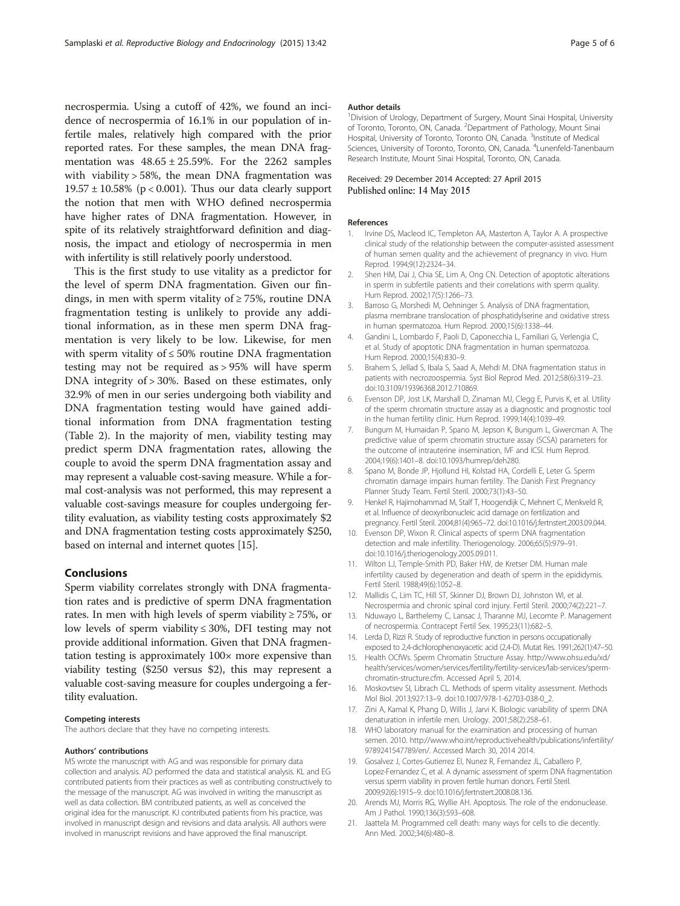<span id="page-4-0"></span>necrospermia. Using a cutoff of 42%, we found an incidence of necrospermia of 16.1% in our population of infertile males, relatively high compared with the prior reported rates. For these samples, the mean DNA fragmentation was  $48.65 \pm 25.59\%$ . For the 2262 samples with viability > 58%, the mean DNA fragmentation was  $19.57 \pm 10.58\%$  (p < 0.001). Thus our data clearly support the notion that men with WHO defined necrospermia have higher rates of DNA fragmentation. However, in spite of its relatively straightforward definition and diagnosis, the impact and etiology of necrospermia in men with infertility is still relatively poorly understood.

This is the first study to use vitality as a predictor for the level of sperm DNA fragmentation. Given our findings, in men with sperm vitality of  $\geq$  75%, routine DNA fragmentation testing is unlikely to provide any additional information, as in these men sperm DNA fragmentation is very likely to be low. Likewise, for men with sperm vitality of  $\leq 50\%$  routine DNA fragmentation testing may not be required as > 95% will have sperm DNA integrity of > 30%. Based on these estimates, only 32.9% of men in our series undergoing both viability and DNA fragmentation testing would have gained additional information from DNA fragmentation testing (Table [2](#page-2-0)). In the majority of men, viability testing may predict sperm DNA fragmentation rates, allowing the couple to avoid the sperm DNA fragmentation assay and may represent a valuable cost-saving measure. While a formal cost-analysis was not performed, this may represent a valuable cost-savings measure for couples undergoing fertility evaluation, as viability testing costs approximately \$2 and DNA fragmentation testing costs approximately \$250, based on internal and internet quotes [15].

#### Conclusions

Sperm viability correlates strongly with DNA fragmentation rates and is predictive of sperm DNA fragmentation rates. In men with high levels of sperm viability  $\geq 75\%$ , or low levels of sperm viability ≤ 30%, DFI testing may not provide additional information. Given that DNA fragmentation testing is approximately  $100 \times$  more expensive than viability testing (\$250 versus \$2), this may represent a valuable cost-saving measure for couples undergoing a fertility evaluation.

#### Competing interests

The authors declare that they have no competing interests.

#### Authors' contributions

MS wrote the manuscript with AG and was responsible for primary data collection and analysis. AD performed the data and statistical analysis. KL and EG contributed patients from their practices as well as contributing constructively to the message of the manuscript. AG was involved in writing the manuscript as well as data collection. BM contributed patients, as well as conceived the original idea for the manuscript. KJ contributed patients from his practice, was involved in manuscript design and revisions and data analysis. All authors were involved in manuscript revisions and have approved the final manuscript.

#### Author details

<sup>1</sup> Division of Urology, Department of Surgery, Mount Sinai Hospital, University of Toronto, Toronto, ON, Canada. <sup>2</sup> Department of Pathology, Mount Sinai Hospital, University of Toronto, Toronto ON, Canada. <sup>3</sup>Institute of Medical Sciences, University of Toronto, Toronto, ON, Canada. <sup>4</sup> Lunenfeld-Tanenbaum Research Institute, Mount Sinai Hospital, Toronto, ON, Canada.

#### Received: 29 December 2014 Accepted: 27 April 2015 Published online: 14 May 2015

#### References

- 1. Irvine DS, Macleod IC, Templeton AA, Masterton A, Taylor A. A prospective clinical study of the relationship between the computer-assisted assessment of human semen quality and the achievement of pregnancy in vivo. Hum Reprod. 1994;9(12):2324–34.
- 2. Shen HM, Dai J, Chia SE, Lim A, Ong CN. Detection of apoptotic alterations in sperm in subfertile patients and their correlations with sperm quality. Hum Reprod. 2002;17(5):1266–73.
- 3. Barroso G, Morshedi M, Oehninger S. Analysis of DNA fragmentation, plasma membrane translocation of phosphatidylserine and oxidative stress in human spermatozoa. Hum Reprod. 2000;15(6):1338–44.
- 4. Gandini L, Lombardo F, Paoli D, Caponecchia L, Familiari G, Verlengia C, et al. Study of apoptotic DNA fragmentation in human spermatozoa. Hum Reprod. 2000;15(4):830–9.
- 5. Brahem S, Jellad S, Ibala S, Saad A, Mehdi M. DNA fragmentation status in patients with necrozoospermia. Syst Biol Reprod Med. 2012;58(6):319–23. doi:10.3109/19396368.2012.710869.
- 6. Evenson DP, Jost LK, Marshall D, Zinaman MJ, Clegg E, Purvis K, et al. Utility of the sperm chromatin structure assay as a diagnostic and prognostic tool in the human fertility clinic. Hum Reprod. 1999;14(4):1039–49.
- 7. Bungum M, Humaidan P, Spano M, Jepson K, Bungum L, Giwercman A. The predictive value of sperm chromatin structure assay (SCSA) parameters for the outcome of intrauterine insemination, IVF and ICSI. Hum Reprod. 2004;19(6):1401–8. doi:10.1093/humrep/deh280.
- 8. Spano M, Bonde JP, Hjollund HI, Kolstad HA, Cordelli E, Leter G. Sperm chromatin damage impairs human fertility. The Danish First Pregnancy Planner Study Team. Fertil Steril. 2000;73(1):43–50.
- 9. Henkel R, Hajimohammad M, Stalf T, Hoogendijk C, Mehnert C, Menkveld R, et al. Influence of deoxyribonucleic acid damage on fertilization and pregnancy. Fertil Steril. 2004;81(4):965–72. doi:10.1016/j.fertnstert.2003.09.044.
- 10. Evenson DP, Wixon R. Clinical aspects of sperm DNA fragmentation detection and male infertility. Theriogenology. 2006;65(5):979–91. doi:10.1016/j.theriogenology.2005.09.011.
- 11. Wilton LJ, Temple-Smith PD, Baker HW, de Kretser DM. Human male infertility caused by degeneration and death of sperm in the epididymis. Fertil Steril. 1988;49(6):1052–8.
- 12. Mallidis C, Lim TC, Hill ST, Skinner DJ, Brown DJ, Johnston WI, et al. Necrospermia and chronic spinal cord injury. Fertil Steril. 2000;74(2):221–7.
- 13. Nduwayo L, Barthelemy C, Lansac J, Tharanne MJ, Lecomte P. Management of necrospermia. Contracept Fertil Sex. 1995;23(11):682–5.
- 14. Lerda D, Rizzi R. Study of reproductive function in persons occupationally exposed to 2,4-dichlorophenoxyacetic acid (2,4-D). Mutat Res. 1991;262(1):47–50.
- 15. Health OCfWs. Sperm Chromatin Structure Assay. [http://www.ohsu.edu/xd/](http://www.ohsu.edu/xd/health/services/women/services/fertility/fertility-services/lab-services/sperm-chromatin-structure.cfm) [health/services/women/services/fertility/fertility-services/lab-services/sperm](http://www.ohsu.edu/xd/health/services/women/services/fertility/fertility-services/lab-services/sperm-chromatin-structure.cfm)[chromatin-structure.cfm.](http://www.ohsu.edu/xd/health/services/women/services/fertility/fertility-services/lab-services/sperm-chromatin-structure.cfm) Accessed April 5, 2014.
- 16. Moskovtsev SI, Librach CL. Methods of sperm vitality assessment. Methods Mol Biol. 2013;927:13–9. doi:10.1007/978-1-62703-038-0\_2.
- 17. Zini A, Kamal K, Phang D, Willis J, Jarvi K. Biologic variability of sperm DNA denaturation in infertile men. Urology. 2001;58(2):258–61.
- 18. WHO laboratory manual for the examination and processing of human semen. 2010. [http://www.who.int/reproductivehealth/publications/infertility/](http://www.who.int/reproductivehealth/publications/infertility/9789241547789/en/) [9789241547789/en/](http://www.who.int/reproductivehealth/publications/infertility/9789241547789/en/). Accessed March 30, 2014 2014.
- 19. Gosalvez J, Cortes-Gutierrez EI, Nunez R, Fernandez JL, Caballero P, Lopez-Fernandez C, et al. A dynamic assessment of sperm DNA fragmentation versus sperm viability in proven fertile human donors. Fertil Steril. 2009;92(6):1915–9. doi:10.1016/j.fertnstert.2008.08.136.
- 20. Arends MJ, Morris RG, Wyllie AH. Apoptosis. The role of the endonuclease. Am J Pathol. 1990;136(3):593–608.
- 21. Jaattela M. Programmed cell death: many ways for cells to die decently. Ann Med. 2002;34(6):480–8.